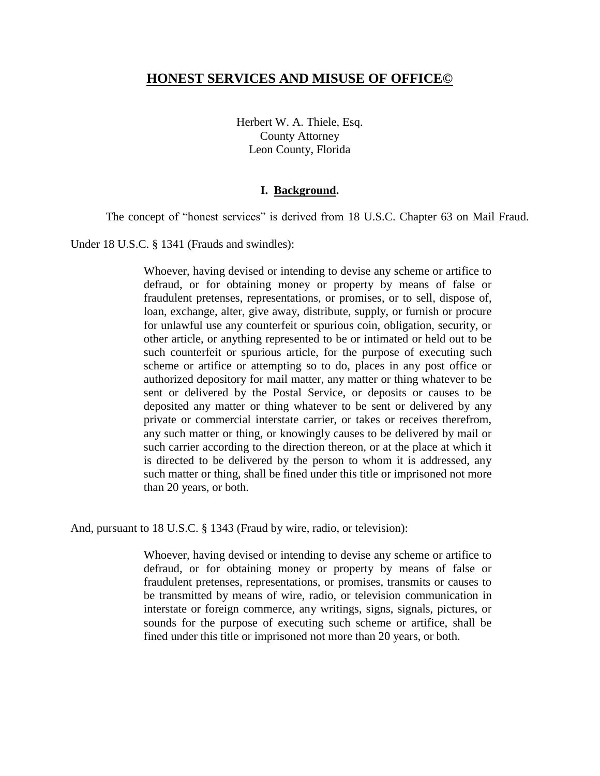# **HONEST SERVICES AND MISUSE OF OFFICE©**

Herbert W. A. Thiele, Esq. County Attorney Leon County, Florida

## **I. Background.**

The concept of "honest services" is derived from 18 U.S.C. Chapter 63 on Mail Fraud.

Under 18 U.S.C. § 1341 (Frauds and swindles):

Whoever, having devised or intending to devise any scheme or artifice to defraud, or for obtaining money or property by means of false or fraudulent pretenses, representations, or promises, or to sell, dispose of, loan, exchange, alter, give away, distribute, supply, or furnish or procure for unlawful use any counterfeit or spurious coin, obligation, security, or other article, or anything represented to be or intimated or held out to be such counterfeit or spurious article, for the purpose of executing such scheme or artifice or attempting so to do, places in any post office or authorized depository for mail matter, any matter or thing whatever to be sent or delivered by the Postal Service, or deposits or causes to be deposited any matter or thing whatever to be sent or delivered by any private or commercial interstate carrier, or takes or receives therefrom, any such matter or thing, or knowingly causes to be delivered by mail or such carrier according to the direction thereon, or at the place at which it is directed to be delivered by the person to whom it is addressed, any such matter or thing, shall be fined under this title or imprisoned not more than 20 years, or both.

And, pursuant to 18 U.S.C. § 1343 (Fraud by wire, radio, or television):

Whoever, having devised or intending to devise any scheme or artifice to defraud, or for obtaining money or property by means of false or fraudulent pretenses, representations, or promises, transmits or causes to be transmitted by means of wire, radio, or television communication in interstate or foreign commerce, any writings, signs, signals, pictures, or sounds for the purpose of executing such scheme or artifice, shall be fined under this title or imprisoned not more than 20 years, or both.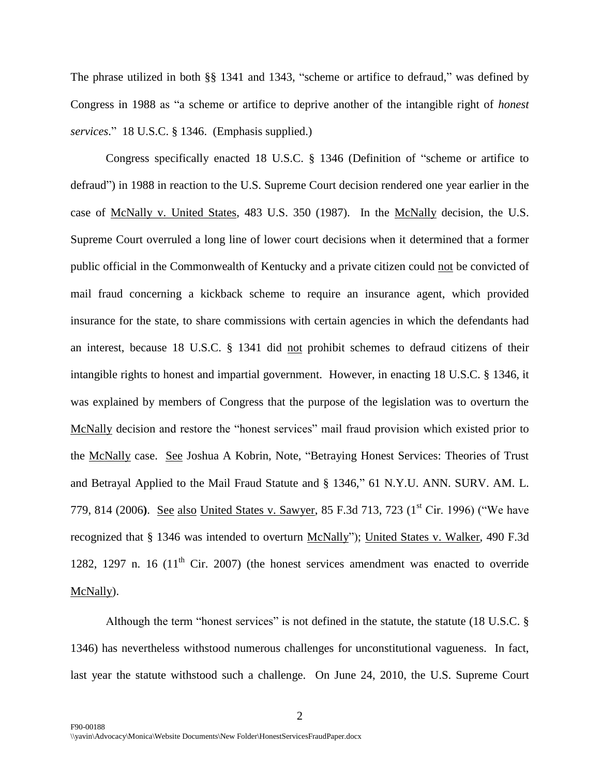The phrase utilized in both §§ 1341 and 1343, "scheme or artifice to defraud," was defined by Congress in 1988 as "a scheme or artifice to deprive another of the intangible right of *honest services*." 18 U.S.C. § 1346. (Emphasis supplied.)

Congress specifically enacted 18 U.S.C. § 1346 (Definition of "scheme or artifice to defraud") in 1988 in reaction to the U.S. Supreme Court decision rendered one year earlier in the case of McNally v. United States, 483 U.S. 350 (1987). In the McNally decision, the U.S. Supreme Court overruled a long line of lower court decisions when it determined that a former public official in the Commonwealth of Kentucky and a private citizen could not be convicted of mail fraud concerning a kickback scheme to require an insurance agent, which provided insurance for the state, to share commissions with certain agencies in which the defendants had an interest, because 18 U.S.C. § 1341 did not prohibit schemes to defraud citizens of their intangible rights to honest and impartial government. However, in enacting 18 U.S.C. § 1346, it was explained by members of Congress that the purpose of the legislation was to overturn the McNally decision and restore the "honest services" mail fraud provision which existed prior to the McNally case. See Joshua A Kobrin, Note, ["Betraying Honest Services: Theories of Trust](http://web2.westlaw.com/find/default.wl?vc=0&ordoc=0338338372&rp=%2ffind%2fdefault.wl&DB=148305&SerialNum=0314335600&FindType=Y&ReferencePositionType=S&ReferencePosition=794&AP=&fn=_top&utid=%7b9E1A6E89-9F80-4C19-9736-91A14DAEFFEE%7d&rs=WLW8.07&mt=Florida&vr=2.0&sv=Split)  [and Betrayal Applied to the Mail Fraud Statute and § 1346,"](http://web2.westlaw.com/find/default.wl?vc=0&ordoc=0338338372&rp=%2ffind%2fdefault.wl&DB=148305&SerialNum=0314335600&FindType=Y&ReferencePositionType=S&ReferencePosition=794&AP=&fn=_top&utid=%7b9E1A6E89-9F80-4C19-9736-91A14DAEFFEE%7d&rs=WLW8.07&mt=Florida&vr=2.0&sv=Split) 61 N.Y.U. ANN. SURV. AM. L. [779, 814 \(2006](http://web2.westlaw.com/find/default.wl?vc=0&ordoc=0338338372&rp=%2ffind%2fdefault.wl&DB=148305&SerialNum=0314335600&FindType=Y&ReferencePositionType=S&ReferencePosition=794&AP=&fn=_top&utid=%7b9E1A6E89-9F80-4C19-9736-91A14DAEFFEE%7d&rs=WLW8.07&mt=Florida&vr=2.0&sv=Split)). See also United States v. Sawyer, 85 F.3d 713, 723 (1<sup>st</sup> Cir. 1996) ("We have recognized that § 1346 was intended to overturn McNally"); United States v. Walker, 490 F.3d 1282, 1297 n. 16 ( $11<sup>th</sup>$  Cir. 2007) (the honest services amendment was enacted to override McNally).

Although the term "honest services" is not defined in the statute, the statute (18 U.S.C. § 1346) has nevertheless withstood numerous challenges for unconstitutional vagueness. In fact, last year the statute withstood such a challenge. On June 24, 2010, the U.S. Supreme Court

2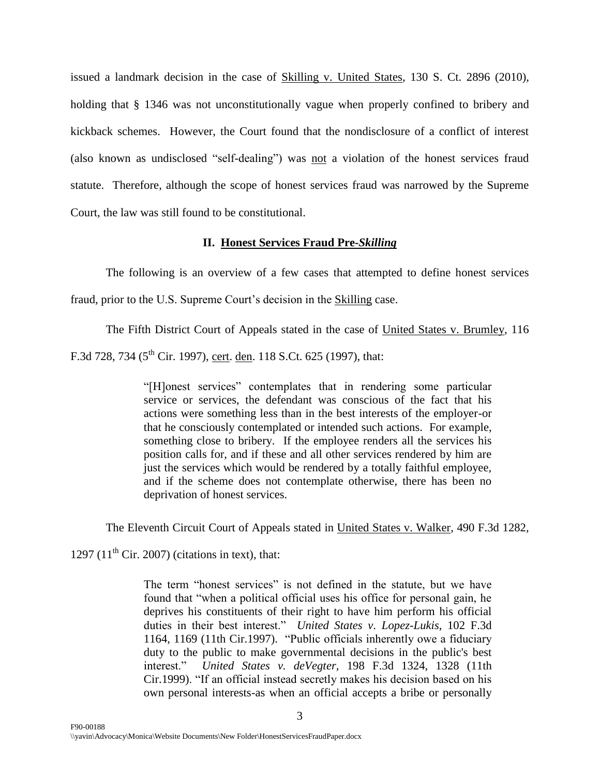issued a landmark decision in the case of Skilling v. United States, 130 S. Ct. 2896 (2010), holding that § 1346 was not unconstitutionally vague when properly confined to bribery and kickback schemes. However, the Court found that the nondisclosure of a conflict of interest (also known as undisclosed "self-dealing") was not a violation of the honest services fraud statute. Therefore, although the scope of honest services fraud was narrowed by the Supreme Court, the law was still found to be constitutional.

#### **II. Honest Services Fraud Pre-***Skilling*

The following is an overview of a few cases that attempted to define honest services fraud, prior to the U.S. Supreme Court's decision in the **Skilling** case.

The Fifth District Court of Appeals stated in the case of United States v. Brumley, 116 F.3d 728, 734 (5<sup>th</sup> Cir. 1997), cert. den. 118 S.Ct. 625 (1997), that:

> "[H]onest services" contemplates that in rendering some particular service or services, the defendant was conscious of the fact that his actions were something less than in the best interests of the employer-or that he consciously contemplated or intended such actions. For example, something close to bribery. If the employee renders all the services his position calls for, and if these and all other services rendered by him are just the services which would be rendered by a totally faithful employee, and if the scheme does not contemplate otherwise, there has been no deprivation of honest services.

The Eleventh Circuit Court of Appeals stated in United States v. Walker, 490 F.3d 1282,

1297 (11<sup>th</sup> Cir. 2007) (citations in text), that:

The term "honest services" is not defined in the statute, but we have found that "when a political official uses his office for personal gain, he deprives his constituents of their right to have him perform his official duties in their best interest." *United States v*. *Lopez*-*Lukis*, [102 F.3d](http://web2.westlaw.com/find/default.wl?tf=-1&rs=WLW8.07&referencepositiontype=S&serialnum=1996277140&fn=_top&sv=Split&referenceposition=1169&findtype=Y&tc=-1&ordoc=2012642784&db=506&utid=%7b9E1A6E89-9F80-4C19-9736-91A14DAEFFEE%7d&vr=2.0&rp=%2ffind%2fdefault.wl&mt=Florida)  [1164, 1169 \(11th Cir.1997\).](http://web2.westlaw.com/find/default.wl?tf=-1&rs=WLW8.07&referencepositiontype=S&serialnum=1996277140&fn=_top&sv=Split&referenceposition=1169&findtype=Y&tc=-1&ordoc=2012642784&db=506&utid=%7b9E1A6E89-9F80-4C19-9736-91A14DAEFFEE%7d&vr=2.0&rp=%2ffind%2fdefault.wl&mt=Florida) "Public officials inherently owe a fiduciary duty to the public to make governmental decisions in the public's best interest." *United States v. deVegter,* [198 F.3d 1324, 1328 \(11th](http://web2.westlaw.com/find/default.wl?tf=-1&rs=WLW8.07&referencepositiontype=S&serialnum=1999284304&fn=_top&sv=Split&referenceposition=1328&findtype=Y&tc=-1&ordoc=2012642784&db=506&utid=%7b9E1A6E89-9F80-4C19-9736-91A14DAEFFEE%7d&vr=2.0&rp=%2ffind%2fdefault.wl&mt=Florida)  [Cir.1999\).](http://web2.westlaw.com/find/default.wl?tf=-1&rs=WLW8.07&referencepositiontype=S&serialnum=1999284304&fn=_top&sv=Split&referenceposition=1328&findtype=Y&tc=-1&ordoc=2012642784&db=506&utid=%7b9E1A6E89-9F80-4C19-9736-91A14DAEFFEE%7d&vr=2.0&rp=%2ffind%2fdefault.wl&mt=Florida) "If an official instead secretly makes his decision based on his own personal interests-as when an official accepts a bribe or personally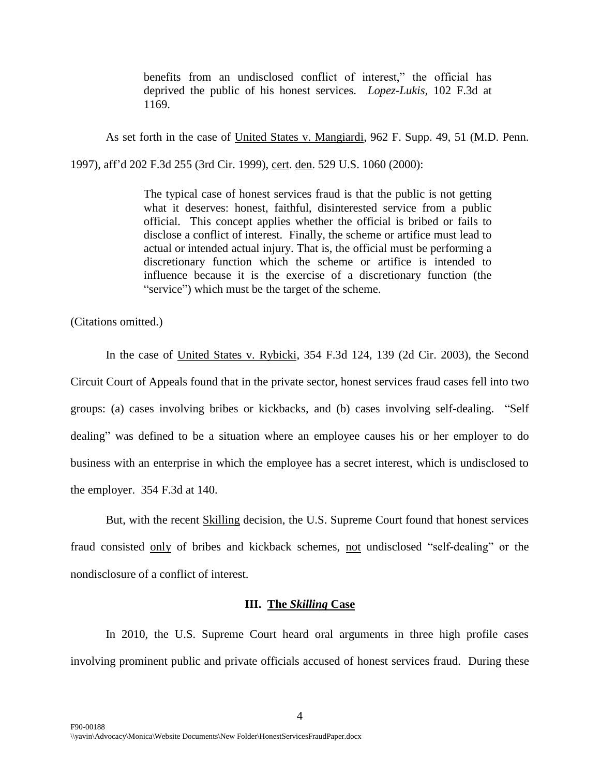benefits from an undisclosed conflict of interest," the official has deprived the public of his honest services. *Lopez-Lukis,* [102 F.3d at](http://web2.westlaw.com/find/default.wl?tf=-1&rs=WLW8.07&referencepositiontype=S&serialnum=1996277140&fn=_top&sv=Split&referenceposition=1169&findtype=Y&tc=-1&ordoc=2012642784&db=506&utid=%7b9E1A6E89-9F80-4C19-9736-91A14DAEFFEE%7d&vr=2.0&rp=%2ffind%2fdefault.wl&mt=Florida)  [1169.](http://web2.westlaw.com/find/default.wl?tf=-1&rs=WLW8.07&referencepositiontype=S&serialnum=1996277140&fn=_top&sv=Split&referenceposition=1169&findtype=Y&tc=-1&ordoc=2012642784&db=506&utid=%7b9E1A6E89-9F80-4C19-9736-91A14DAEFFEE%7d&vr=2.0&rp=%2ffind%2fdefault.wl&mt=Florida)

As set forth in the case of United States v. Mangiardi, 962 F. Supp. 49, 51 (M.D. Penn.

1997), aff"d 202 F.3d 255 (3rd Cir. 1999), cert. den. 529 U.S. 1060 (2000):

The typical case of honest services fraud is that the public is not getting what it deserves: honest, faithful, disinterested service from a public official. This concept applies whether the official is bribed or fails to disclose a conflict of interest. Finally, the scheme or artifice must lead to actual or intended actual injury. That is, the official must be performing a discretionary function which the scheme or artifice is intended to influence because it is the exercise of a discretionary function (the "service") which must be the target of the scheme.

(Citations omitted.)

In the case of United States v. Rybicki, 354 F.3d 124, 139 (2d Cir. 2003), the Second Circuit Court of Appeals found that in the private sector, honest services fraud cases fell into two groups: (a) cases involving bribes or kickbacks, and (b) cases involving self-dealing. "Self dealing" was defined to be a situation where an employee causes his or her employer to do business with an enterprise in which the employee has a secret interest, which is undisclosed to the employer. 354 F.3d at 140.

But, with the recent Skilling decision, the U.S. Supreme Court found that honest services fraud consisted only of bribes and kickback schemes, not undisclosed "self-dealing" or the nondisclosure of a conflict of interest.

### **III. The** *Skilling* **Case**

In 2010, the U.S. Supreme Court heard oral arguments in three high profile cases involving prominent public and private officials accused of honest services fraud. During these

4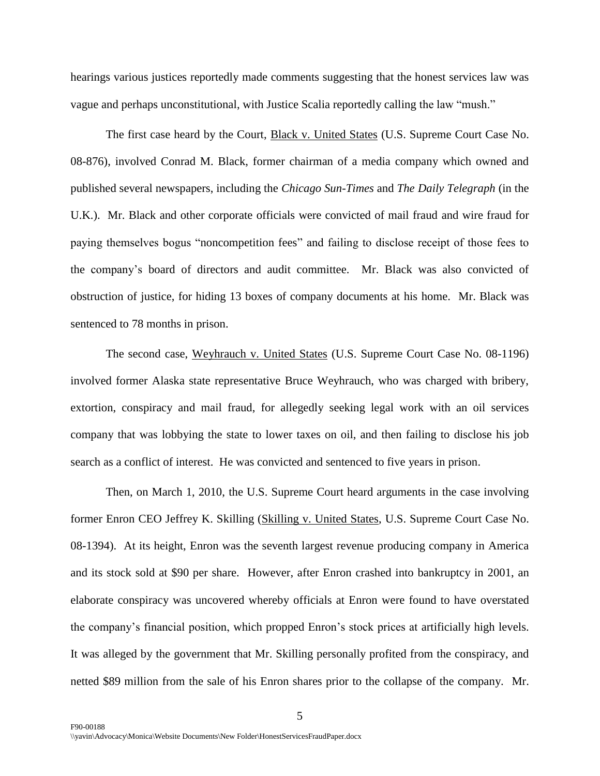hearings various justices reportedly made comments suggesting that the honest services law was vague and perhaps unconstitutional, with Justice Scalia reportedly calling the law "mush."

The first case heard by the Court, **Black v. United States (U.S. Supreme Court Case No.** 08-876), involved Conrad M. Black, former chairman of a media company which owned and published several newspapers, including the *Chicago Sun-Times* and *The Daily Telegraph* (in the U.K.). Mr. Black and other corporate officials were convicted of mail fraud and wire fraud for paying themselves bogus "noncompetition fees" and failing to disclose receipt of those fees to the company"s board of directors and audit committee. Mr. Black was also convicted of obstruction of justice, for hiding 13 boxes of company documents at his home. Mr. Black was sentenced to 78 months in prison.

The second case, Weyhrauch v. United States (U.S. Supreme Court Case No. 08-1196) involved former Alaska state representative Bruce Weyhrauch, who was charged with bribery, extortion, conspiracy and mail fraud, for allegedly seeking legal work with an oil services company that was lobbying the state to lower taxes on oil, and then failing to disclose his job search as a conflict of interest. He was convicted and sentenced to five years in prison.

Then, on March 1, 2010, the U.S. Supreme Court heard arguments in the case involving former Enron CEO Jeffrey K. Skilling (Skilling v. United States, U.S. Supreme Court Case No. 08-1394). At its height, Enron was the seventh largest revenue producing company in America and its stock sold at \$90 per share. However, after Enron crashed into bankruptcy in 2001, an elaborate conspiracy was uncovered whereby officials at Enron were found to have overstated the company"s financial position, which propped Enron"s stock prices at artificially high levels. It was alleged by the government that Mr. Skilling personally profited from the conspiracy, and netted \$89 million from the sale of his Enron shares prior to the collapse of the company. Mr.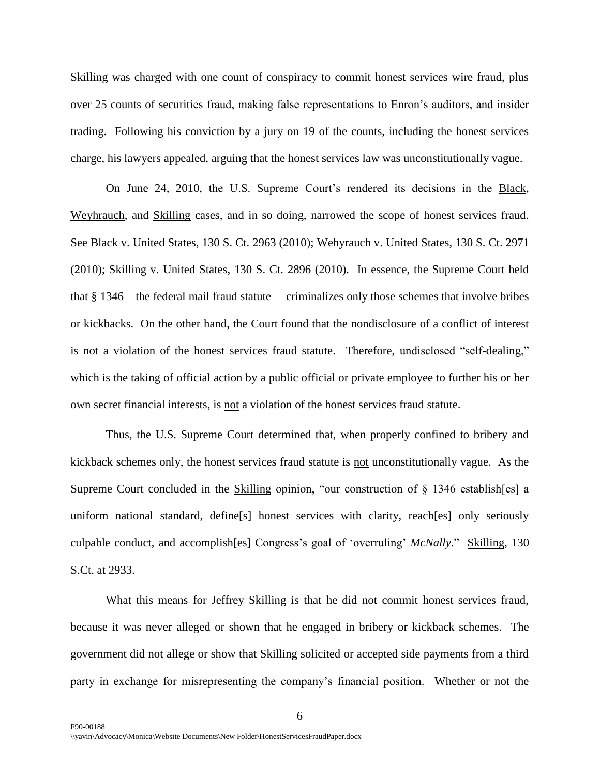Skilling was charged with one count of conspiracy to commit honest services wire fraud, plus over 25 counts of securities fraud, making false representations to Enron"s auditors, and insider trading. Following his conviction by a jury on 19 of the counts, including the honest services charge, his lawyers appealed, arguing that the honest services law was unconstitutionally vague.

On June 24, 2010, the U.S. Supreme Court's rendered its decisions in the Black, Weyhrauch, and Skilling cases, and in so doing, narrowed the scope of honest services fraud. See Black v. United States, 130 S. Ct. 2963 (2010); Wehyrauch v. United States, 130 S. Ct. 2971 (2010); Skilling v. United States, 130 S. Ct. 2896 (2010). In essence, the Supreme Court held that  $§$  1346 – the federal mail fraud statute – criminalizes only those schemes that involve bribes or kickbacks. On the other hand, the Court found that the nondisclosure of a conflict of interest is not a violation of the honest services fraud statute. Therefore, undisclosed "self-dealing," which is the taking of official action by a public official or private employee to further his or her own secret financial interests, is not a violation of the honest services fraud statute.

Thus, the U.S. Supreme Court determined that, when properly confined to bribery and kickback schemes only, the honest services fraud statute is not unconstitutionally vague. As the Supreme Court concluded in the Skilling opinion, "our construction of  $\S$  1346 establish[es] a uniform national standard, define[s] honest services with clarity, reach[es] only seriously culpable conduct, and accomplish[es] Congress"s goal of "overruling" *McNally*." Skilling, 130 S.Ct. at 2933.

What this means for Jeffrey Skilling is that he did not commit honest services fraud, because it was never alleged or shown that he engaged in bribery or kickback schemes. The government did not allege or show that Skilling solicited or accepted side payments from a third party in exchange for misrepresenting the company"s financial position. Whether or not the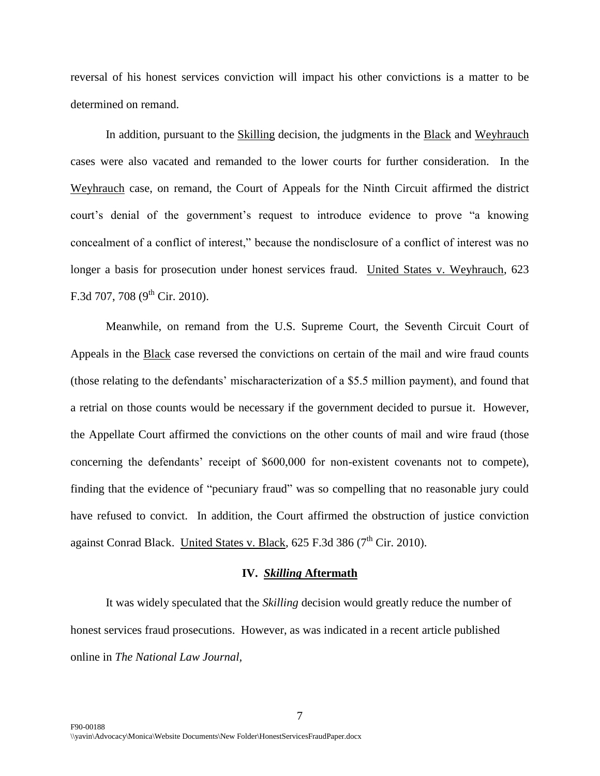reversal of his honest services conviction will impact his other convictions is a matter to be determined on remand.

In addition, pursuant to the **Skilling** decision, the judgments in the **Black** and Weyhrauch cases were also vacated and remanded to the lower courts for further consideration. In the Weyhrauch case, on remand, the Court of Appeals for the Ninth Circuit affirmed the district court's denial of the government's request to introduce evidence to prove "a knowing" concealment of a conflict of interest," because the nondisclosure of a conflict of interest was no longer a basis for prosecution under honest services fraud. United States v. Weyhrauch, 623 F.3d 707, 708 ( $9^{\text{th}}$  Cir. 2010).

Meanwhile, on remand from the U.S. Supreme Court, the Seventh Circuit Court of Appeals in the Black case reversed the convictions on certain of the mail and wire fraud counts (those relating to the defendants" mischaracterization of a \$5.5 million payment), and found that a retrial on those counts would be necessary if the government decided to pursue it. However, the Appellate Court affirmed the convictions on the other counts of mail and wire fraud (those concerning the defendants' receipt of \$600,000 for non-existent covenants not to compete), finding that the evidence of "pecuniary fraud" was so compelling that no reasonable jury could have refused to convict. In addition, the Court affirmed the obstruction of justice conviction against Conrad Black. United States v. Black,  $625$  F.3d 386 ( $7<sup>th</sup>$  Cir. 2010).

#### **IV.** *Skilling* **Aftermath**

It was widely speculated that the *Skilling* decision would greatly reduce the number of honest services fraud prosecutions. However, as was indicated in a recent article published online in *The National Law Journal,*

7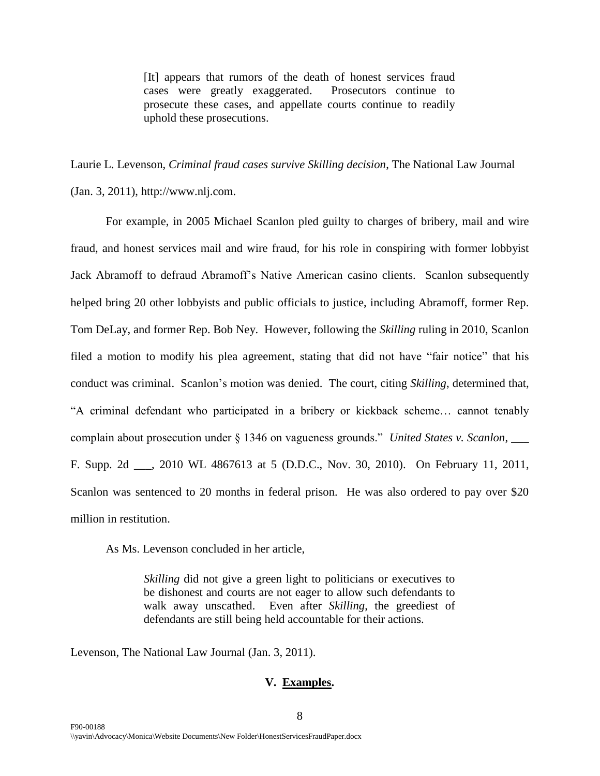[It] appears that rumors of the death of honest services fraud cases were greatly exaggerated. Prosecutors continue to prosecute these cases, and appellate courts continue to readily uphold these prosecutions.

Laurie L. Levenson, *Criminal fraud cases survive Skilling decision*, The National Law Journal (Jan. 3, 2011), http://www.nlj.com.

For example, in 2005 Michael Scanlon pled guilty to charges of bribery, mail and wire fraud, and honest services mail and wire fraud, for his role in conspiring with former lobbyist Jack Abramoff to defraud Abramoff"s Native American casino clients. Scanlon subsequently helped bring 20 other lobbyists and public officials to justice, including Abramoff, former Rep. Tom DeLay, and former Rep. Bob Ney. However, following the *Skilling* ruling in 2010, Scanlon filed a motion to modify his plea agreement, stating that did not have "fair notice" that his conduct was criminal. Scanlon"s motion was denied. The court, citing *Skilling*, determined that, "A criminal defendant who participated in a bribery or kickback scheme… cannot tenably complain about prosecution under § 1346 on vagueness grounds." *United States v. Scanlon*, \_\_\_ F. Supp. 2d \_\_\_, 2010 WL 4867613 at 5 (D.D.C., Nov. 30, 2010). On February 11, 2011, Scanlon was sentenced to 20 months in federal prison. He was also ordered to pay over \$20 million in restitution.

As Ms. Levenson concluded in her article,

*Skilling* did not give a green light to politicians or executives to be dishonest and courts are not eager to allow such defendants to walk away unscathed. Even after *Skilling*, the greediest of defendants are still being held accountable for their actions.

Levenson, The National Law Journal (Jan. 3, 2011).

#### **V. Examples.**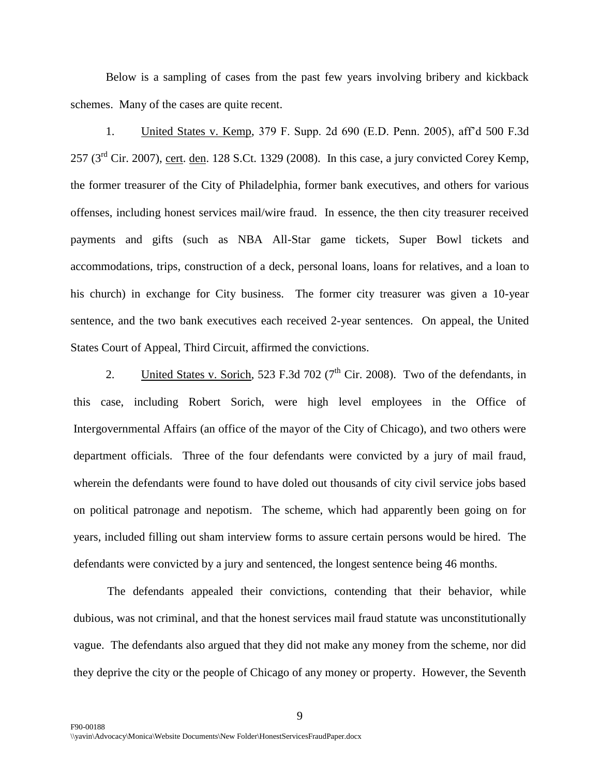Below is a sampling of cases from the past few years involving bribery and kickback schemes. Many of the cases are quite recent.

1. United States v. Kemp, 379 F. Supp. 2d 690 (E.D. Penn. 2005), aff"d 500 F.3d  $257$  ( $3<sup>rd</sup>$  Cir. 2007), cert. den. 128 S.Ct. 1329 (2008). In this case, a jury convicted Corey Kemp, the former treasurer of the City of Philadelphia, former bank executives, and others for various offenses, including honest services mail/wire fraud. In essence, the then city treasurer received payments and gifts (such as NBA All-Star game tickets, Super Bowl tickets and accommodations, trips, construction of a deck, personal loans, loans for relatives, and a loan to his church) in exchange for City business. The former city treasurer was given a 10-year sentence, and the two bank executives each received 2-year sentences. On appeal, the United States Court of Appeal, Third Circuit, affirmed the convictions.

2. United States v. Sorich, 523 F.3d 702 ( $7<sup>th</sup>$  Cir. 2008). Two of the defendants, in this case, including Robert Sorich, were high level employees in the Office of Intergovernmental Affairs (an office of the mayor of the City of Chicago), and two others were department officials. Three of the four defendants were convicted by a jury of mail fraud, wherein the defendants were found to have doled out thousands of city civil service jobs based on political patronage and nepotism. The scheme, which had apparently been going on for years, included filling out sham interview forms to assure certain persons would be hired. The defendants were convicted by a jury and sentenced, the longest sentence being 46 months.

The defendants appealed their convictions, contending that their behavior, while dubious, was not criminal, and that the honest services mail fraud statute was unconstitutionally vague. The defendants also argued that they did not make any money from the scheme, nor did they deprive the city or the people of Chicago of any money or property. However, the Seventh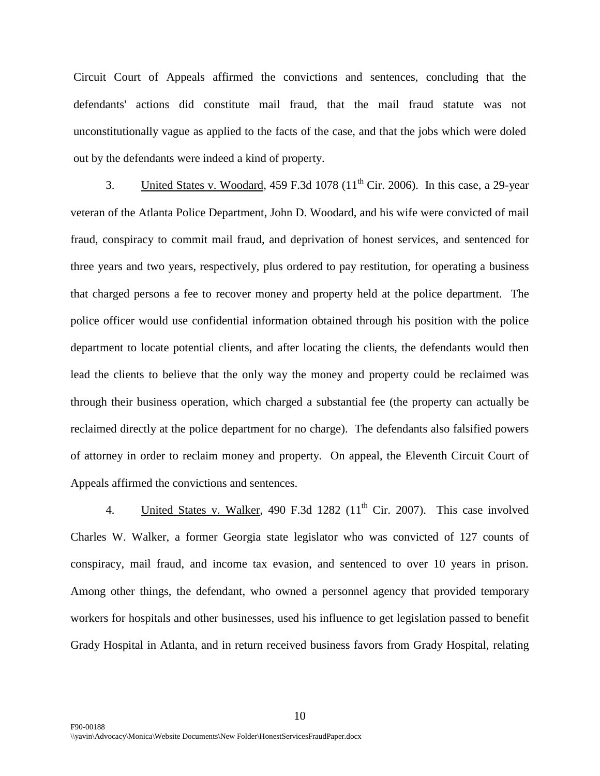Circuit Court of Appeals affirmed the convictions and sentences, concluding that the defendants' actions did constitute mail fraud, that the mail fraud statute was not unconstitutionally vague as applied to the facts of the case, and that the jobs which were doled out by the defendants were indeed a kind of property.

3. United States v. Woodard, 459 F.3d 1078  $(11<sup>th</sup>$  Cir. 2006). In this case, a 29-year veteran of the Atlanta Police Department, John D. Woodard, and his wife were convicted of mail fraud, conspiracy to commit mail fraud, and deprivation of honest services, and sentenced for three years and two years, respectively, plus ordered to pay restitution, for operating a business that charged persons a fee to recover money and property held at the police department. The police officer would use confidential information obtained through his position with the police department to locate potential clients, and after locating the clients, the defendants would then lead the clients to believe that the only way the money and property could be reclaimed was through their business operation, which charged a substantial fee (the property can actually be reclaimed directly at the police department for no charge). The defendants also falsified powers of attorney in order to reclaim money and property. On appeal, the Eleventh Circuit Court of Appeals affirmed the convictions and sentences.

4. United States v. Walker, 490 F.3d  $1282$  ( $11<sup>th</sup>$  Cir. 2007). This case involved Charles W. Walker, a former Georgia state legislator who was convicted of 127 counts of conspiracy, mail fraud, and income tax evasion, and sentenced to over 10 years in prison. Among other things, the defendant, who owned a personnel agency that provided temporary workers for hospitals and other businesses, used his influence to get legislation passed to benefit Grady Hospital in Atlanta, and in return received business favors from Grady Hospital, relating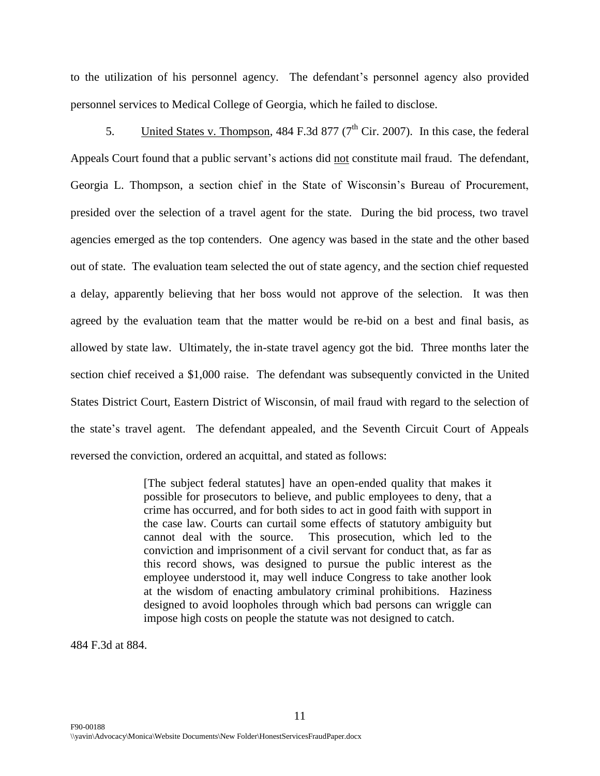to the utilization of his personnel agency. The defendant's personnel agency also provided personnel services to Medical College of Georgia, which he failed to disclose.

5. United States v. Thompson, 484 F.3d 877 ( $7<sup>th</sup>$  Cir. 2007). In this case, the federal Appeals Court found that a public servant's actions did not constitute mail fraud. The defendant, Georgia L. Thompson, a section chief in the State of Wisconsin"s Bureau of Procurement, presided over the selection of a travel agent for the state. During the bid process, two travel agencies emerged as the top contenders. One agency was based in the state and the other based out of state. The evaluation team selected the out of state agency, and the section chief requested a delay, apparently believing that her boss would not approve of the selection. It was then agreed by the evaluation team that the matter would be re-bid on a best and final basis, as allowed by state law. Ultimately, the in-state travel agency got the bid. Three months later the section chief received a \$1,000 raise. The defendant was subsequently convicted in the United States District Court, Eastern District of Wisconsin, of mail fraud with regard to the selection of the state"s travel agent. The defendant appealed, and the Seventh Circuit Court of Appeals reversed the conviction, ordered an acquittal, and stated as follows:

> [The subject federal statutes] have an open-ended quality that makes it possible for prosecutors to believe, and public employees to deny, that a crime has occurred, and for both sides to act in good faith with support in the case law. Courts can curtail some effects of statutory ambiguity but cannot deal with the source. This prosecution, which led to the conviction and imprisonment of a civil servant for conduct that, as far as this record shows, was designed to pursue the public interest as the employee understood it, may well induce Congress to take another look at the wisdom of enacting ambulatory criminal prohibitions. Haziness designed to avoid loopholes through which bad persons can wriggle can impose high costs on people the statute was not designed to catch.

484 F.3d at 884.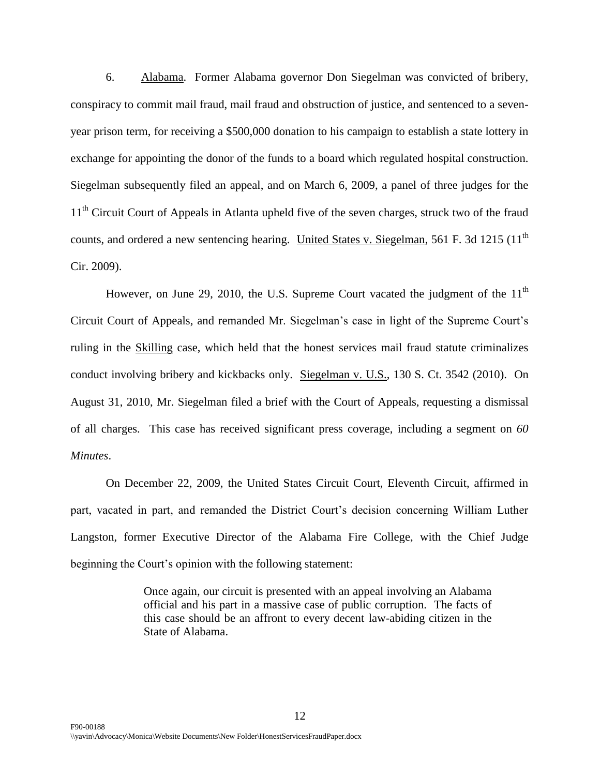6. Alabama. Former Alabama governor Don Siegelman was convicted of bribery, conspiracy to commit mail fraud, mail fraud and obstruction of justice, and sentenced to a sevenyear prison term, for receiving a \$500,000 donation to his campaign to establish a state lottery in exchange for appointing the donor of the funds to a board which regulated hospital construction. Siegelman subsequently filed an appeal, and on March 6, 2009, a panel of three judges for the 11<sup>th</sup> Circuit Court of Appeals in Atlanta upheld five of the seven charges, struck two of the fraud counts, and ordered a new sentencing hearing. United States v. Siegelman, 561 F. 3d 1215 (11<sup>th</sup>) Cir. 2009).

However, on June 29, 2010, the U.S. Supreme Court vacated the judgment of the  $11<sup>th</sup>$ Circuit Court of Appeals, and remanded Mr. Siegelman"s case in light of the Supreme Court"s ruling in the Skilling case, which held that the honest services mail fraud statute criminalizes conduct involving bribery and kickbacks only. Siegelman v. U.S., 130 S. Ct. 3542 (2010). On August 31, 2010, Mr. Siegelman filed a brief with the Court of Appeals, requesting a dismissal of all charges. This case has received significant press coverage, including a segment on *60 Minutes*.

On December 22, 2009, the United States Circuit Court, Eleventh Circuit, affirmed in part, vacated in part, and remanded the District Court's decision concerning William Luther Langston, former Executive Director of the Alabama Fire College, with the Chief Judge beginning the Court's opinion with the following statement:

> Once again, our circuit is presented with an appeal involving an Alabama official and his part in a massive case of public corruption. The facts of this case should be an affront to every decent law-abiding citizen in the State of Alabama.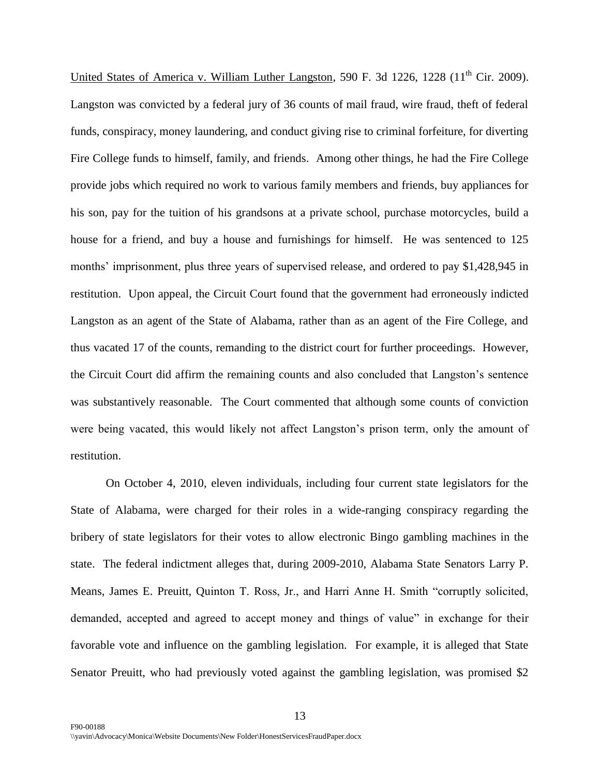United States of America v. William Luther Langston, 590 F. 3d 1226, 1228  $(11<sup>th</sup> Cir. 2009)$ . Langston was convicted by a federal jury of 36 counts of mail fraud, wire fraud, theft of federal funds, conspiracy, money laundering, and conduct giving rise to criminal forfeiture, for diverting Fire College funds to himself, family, and friends. Among other things, he had the Fire College provide jobs which required no work to various family members and friends, buy appliances for his son, pay for the tuition of his grandsons at a private school, purchase motorcycles, build a house for a friend, and buy a house and furnishings for himself. He was sentenced to 125 months' imprisonment, plus three years of supervised release, and ordered to pay \$1,428,945 in restitution. Upon appeal, the Circuit Court found that the government had erroneously indicted Langston as an agent of the State of Alabama, rather than as an agent of the Fire College, and thus vacated 17 of the counts, remanding to the district court for further proceedings. However, the Circuit Court did affirm the remaining counts and also concluded that Langston"s sentence was substantively reasonable. The Court commented that although some counts of conviction were being vacated, this would likely not affect Langston"s prison term, only the amount of restitution.

On October 4, 2010, eleven individuals, including four current state legislators for the State of Alabama, were charged for their roles in a wide-ranging conspiracy regarding the bribery of state legislators for their votes to allow electronic Bingo gambling machines in the state. The federal indictment alleges that, during 2009-2010, Alabama State Senators Larry P. Means, James E. Preuitt, Quinton T. Ross, Jr., and Harri Anne H. Smith "corruptly solicited, demanded, accepted and agreed to accept money and things of value" in exchange for their favorable vote and influence on the gambling legislation. For example, it is alleged that State Senator Preuitt, who had previously voted against the gambling legislation, was promised \$2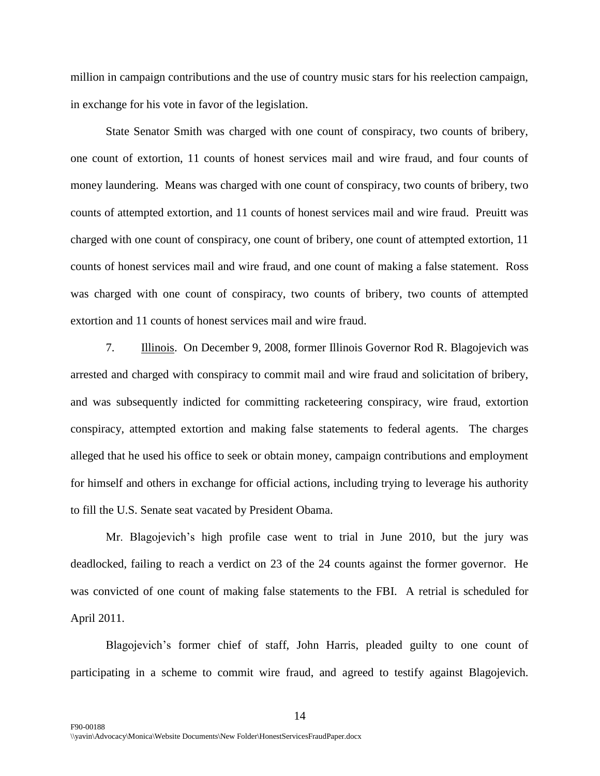million in campaign contributions and the use of country music stars for his reelection campaign, in exchange for his vote in favor of the legislation.

State Senator Smith was charged with one count of conspiracy, two counts of bribery, one count of extortion, 11 counts of honest services mail and wire fraud, and four counts of money laundering. Means was charged with one count of conspiracy, two counts of bribery, two counts of attempted extortion, and 11 counts of honest services mail and wire fraud. Preuitt was charged with one count of conspiracy, one count of bribery, one count of attempted extortion, 11 counts of honest services mail and wire fraud, and one count of making a false statement. Ross was charged with one count of conspiracy, two counts of bribery, two counts of attempted extortion and 11 counts of honest services mail and wire fraud.

7. Illinois. On December 9, 2008, former Illinois Governor Rod R. Blagojevich was arrested and charged with conspiracy to commit mail and wire fraud and solicitation of bribery, and was subsequently indicted for committing racketeering conspiracy, wire fraud, extortion conspiracy, attempted extortion and making false statements to federal agents. The charges alleged that he used his office to seek or obtain money, campaign contributions and employment for himself and others in exchange for official actions, including trying to leverage his authority to fill the U.S. Senate seat vacated by President Obama.

Mr. Blagojevich"s high profile case went to trial in June 2010, but the jury was deadlocked, failing to reach a verdict on 23 of the 24 counts against the former governor. He was convicted of one count of making false statements to the FBI. A retrial is scheduled for April 2011.

Blagojevich's former chief of staff, John Harris, pleaded guilty to one count of participating in a scheme to commit wire fraud, and agreed to testify against Blagojevich.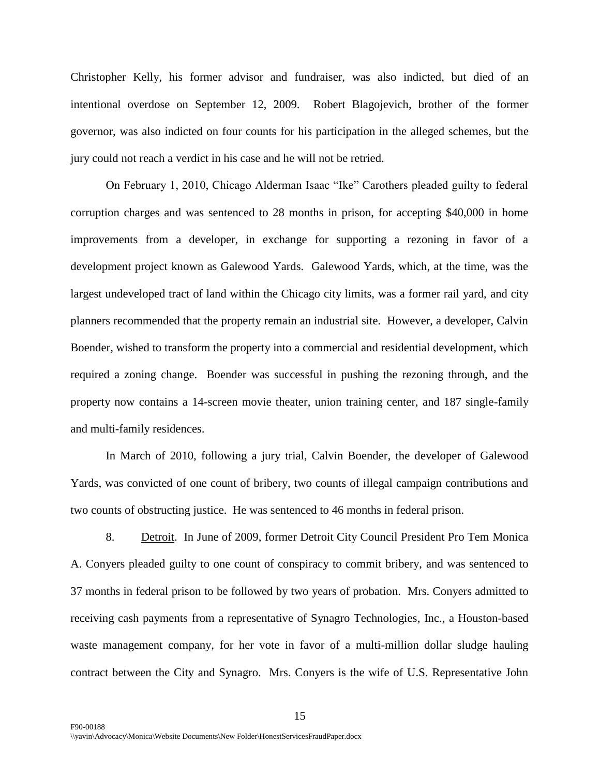Christopher Kelly, his former advisor and fundraiser, was also indicted, but died of an intentional overdose on September 12, 2009. Robert Blagojevich, brother of the former governor, was also indicted on four counts for his participation in the alleged schemes, but the jury could not reach a verdict in his case and he will not be retried.

On February 1, 2010, Chicago Alderman Isaac "Ike" Carothers pleaded guilty to federal corruption charges and was sentenced to 28 months in prison, for accepting \$40,000 in home improvements from a developer, in exchange for supporting a rezoning in favor of a development project known as Galewood Yards. Galewood Yards, which, at the time, was the largest undeveloped tract of land within the Chicago city limits, was a former rail yard, and city planners recommended that the property remain an industrial site. However, a developer, Calvin Boender, wished to transform the property into a commercial and residential development, which required a zoning change. Boender was successful in pushing the rezoning through, and the property now contains a 14-screen movie theater, union training center, and 187 single-family and multi-family residences.

In March of 2010, following a jury trial, Calvin Boender, the developer of Galewood Yards, was convicted of one count of bribery, two counts of illegal campaign contributions and two counts of obstructing justice. He was sentenced to 46 months in federal prison.

8. Detroit. In June of 2009, former Detroit City Council President Pro Tem Monica A. Conyers pleaded guilty to one count of conspiracy to commit bribery, and was sentenced to 37 months in federal prison to be followed by two years of probation. Mrs. Conyers admitted to receiving cash payments from a representative of Synagro Technologies, Inc., a Houston-based waste management company, for her vote in favor of a multi-million dollar sludge hauling contract between the City and Synagro. Mrs. Conyers is the wife of U.S. Representative John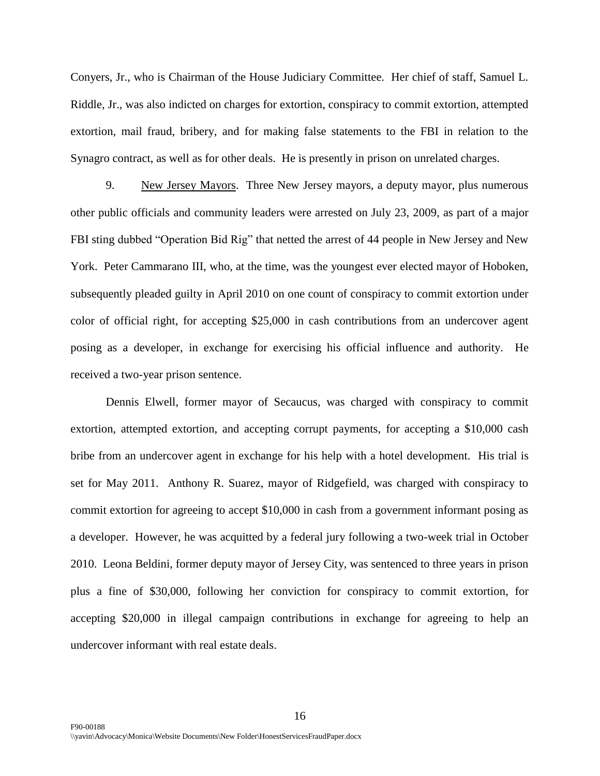Conyers, Jr., who is Chairman of the House Judiciary Committee. Her chief of staff, Samuel L. Riddle, Jr., was also indicted on charges for extortion, conspiracy to commit extortion, attempted extortion, mail fraud, bribery, and for making false statements to the FBI in relation to the Synagro contract, as well as for other deals. He is presently in prison on unrelated charges.

9. New Jersey Mayors. Three New Jersey mayors, a deputy mayor, plus numerous other public officials and community leaders were arrested on July 23, 2009, as part of a major FBI sting dubbed "Operation Bid Rig" that netted the arrest of 44 people in New Jersey and New York. Peter Cammarano III, who, at the time, was the youngest ever elected mayor of Hoboken, subsequently pleaded guilty in April 2010 on one count of conspiracy to commit extortion under color of official right, for accepting \$25,000 in cash contributions from an undercover agent posing as a developer, in exchange for exercising his official influence and authority. He received a two-year prison sentence.

Dennis Elwell, former mayor of Secaucus, was charged with conspiracy to commit extortion, attempted extortion, and accepting corrupt payments, for accepting a \$10,000 cash bribe from an undercover agent in exchange for his help with a hotel development. His trial is set for May 2011. Anthony R. Suarez, mayor of Ridgefield, was charged with conspiracy to commit extortion for agreeing to accept \$10,000 in cash from a government informant posing as a developer. However, he was acquitted by a federal jury following a two-week trial in October 2010. Leona Beldini, former deputy mayor of Jersey City, was sentenced to three years in prison plus a fine of \$30,000, following her conviction for conspiracy to commit extortion, for accepting \$20,000 in illegal campaign contributions in exchange for agreeing to help an undercover informant with real estate deals.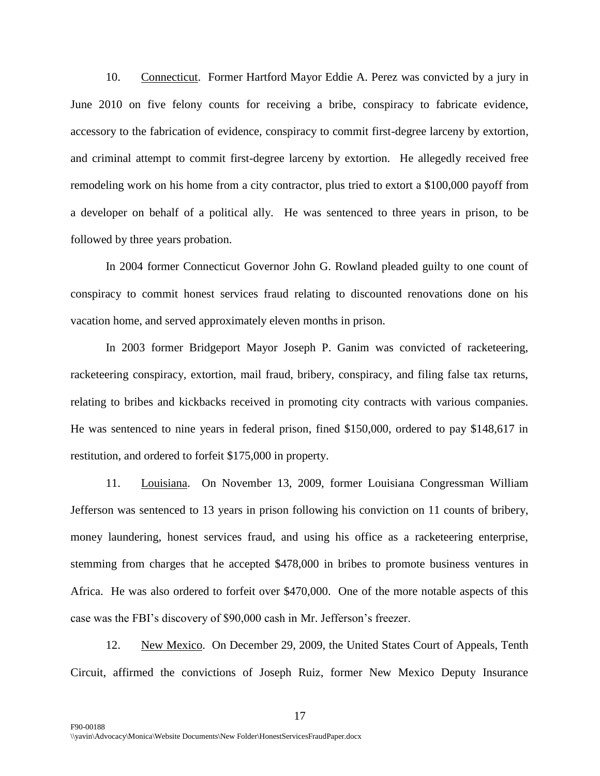10. Connecticut. Former Hartford Mayor Eddie A. Perez was convicted by a jury in June 2010 on five felony counts for receiving a bribe, conspiracy to fabricate evidence, accessory to the fabrication of evidence, conspiracy to commit first-degree larceny by extortion, and criminal attempt to commit first-degree larceny by extortion. He allegedly received free remodeling work on his home from a city contractor, plus tried to extort a \$100,000 payoff from a developer on behalf of a political ally. He was sentenced to three years in prison, to be followed by three years probation.

In 2004 former Connecticut Governor John G. Rowland pleaded guilty to one count of conspiracy to commit honest services fraud relating to discounted renovations done on his vacation home, and served approximately eleven months in prison.

In 2003 former Bridgeport Mayor Joseph P. Ganim was convicted of racketeering, racketeering conspiracy, extortion, mail fraud, bribery, conspiracy, and filing false tax returns, relating to bribes and kickbacks received in promoting city contracts with various companies. He was sentenced to nine years in federal prison, fined \$150,000, ordered to pay \$148,617 in restitution, and ordered to forfeit \$175,000 in property.

11. Louisiana. On November 13, 2009, former Louisiana Congressman William Jefferson was sentenced to 13 years in prison following his conviction on 11 counts of bribery, money laundering, honest services fraud, and using his office as a racketeering enterprise, stemming from charges that he accepted \$478,000 in bribes to promote business ventures in Africa. He was also ordered to forfeit over \$470,000. One of the more notable aspects of this case was the FBI"s discovery of \$90,000 cash in Mr. Jefferson"s freezer.

12. New Mexico. On December 29, 2009, the United States Court of Appeals, Tenth Circuit, affirmed the convictions of Joseph Ruiz, former New Mexico Deputy Insurance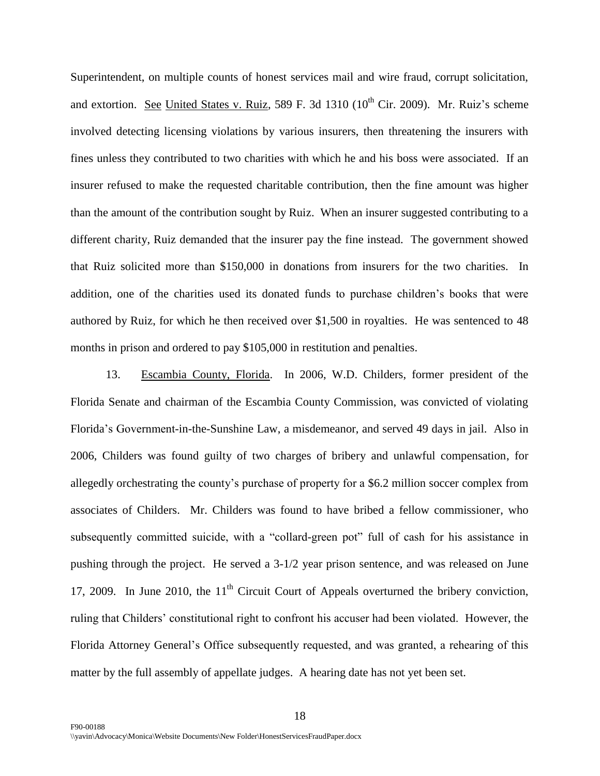Superintendent, on multiple counts of honest services mail and wire fraud, corrupt solicitation, and extortion. See United States v. Ruiz, 589 F. 3d  $1310$  ( $10<sup>th</sup>$  Cir. 2009). Mr. Ruiz's scheme involved detecting licensing violations by various insurers, then threatening the insurers with fines unless they contributed to two charities with which he and his boss were associated. If an insurer refused to make the requested charitable contribution, then the fine amount was higher than the amount of the contribution sought by Ruiz. When an insurer suggested contributing to a different charity, Ruiz demanded that the insurer pay the fine instead. The government showed that Ruiz solicited more than \$150,000 in donations from insurers for the two charities. In addition, one of the charities used its donated funds to purchase children"s books that were authored by Ruiz, for which he then received over \$1,500 in royalties. He was sentenced to 48 months in prison and ordered to pay \$105,000 in restitution and penalties.

13. Escambia County, Florida. In 2006, W.D. Childers, former president of the Florida Senate and chairman of the Escambia County Commission, was convicted of violating Florida"s Government-in-the-Sunshine Law, a misdemeanor, and served 49 days in jail. Also in 2006, Childers was found guilty of two charges of bribery and unlawful compensation, for allegedly orchestrating the county"s purchase of property for a \$6.2 million soccer complex from associates of Childers. Mr. Childers was found to have bribed a fellow commissioner, who subsequently committed suicide, with a "collard-green pot" full of cash for his assistance in pushing through the project. He served a 3-1/2 year prison sentence, and was released on June 17, 2009. In June 2010, the  $11<sup>th</sup>$  Circuit Court of Appeals overturned the bribery conviction, ruling that Childers" constitutional right to confront his accuser had been violated. However, the Florida Attorney General"s Office subsequently requested, and was granted, a rehearing of this matter by the full assembly of appellate judges. A hearing date has not yet been set.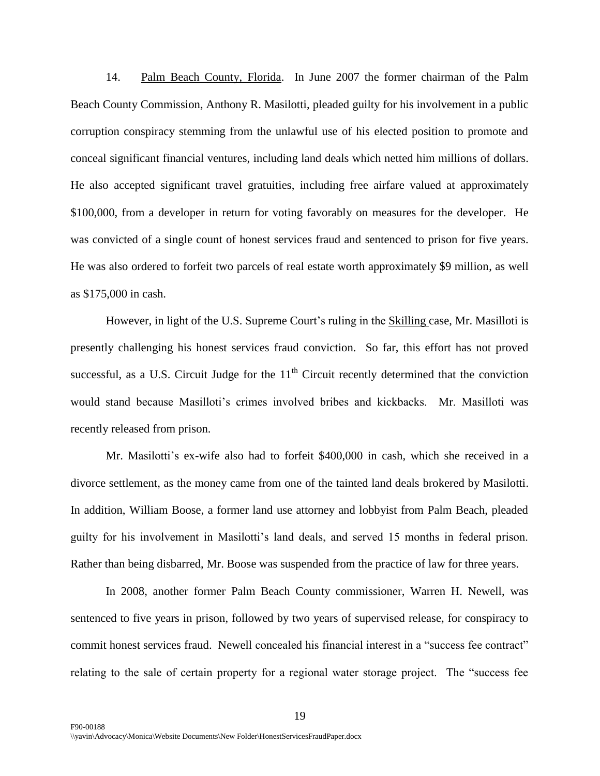14. Palm Beach County, Florida. In June 2007 the former chairman of the Palm Beach County Commission, Anthony R. Masilotti, pleaded guilty for his involvement in a public corruption conspiracy stemming from the unlawful use of his elected position to promote and conceal significant financial ventures, including land deals which netted him millions of dollars. He also accepted significant travel gratuities, including free airfare valued at approximately \$100,000, from a developer in return for voting favorably on measures for the developer. He was convicted of a single count of honest services fraud and sentenced to prison for five years. He was also ordered to forfeit two parcels of real estate worth approximately \$9 million, as well as \$175,000 in cash.

However, in light of the U.S. Supreme Court"s ruling in the Skilling case, Mr. Masilloti is presently challenging his honest services fraud conviction. So far, this effort has not proved successful, as a U.S. Circuit Judge for the  $11<sup>th</sup>$  Circuit recently determined that the conviction would stand because Masilloti"s crimes involved bribes and kickbacks. Mr. Masilloti was recently released from prison.

Mr. Masilotti's ex-wife also had to forfeit \$400,000 in cash, which she received in a divorce settlement, as the money came from one of the tainted land deals brokered by Masilotti. In addition, William Boose, a former land use attorney and lobbyist from Palm Beach, pleaded guilty for his involvement in Masilotti"s land deals, and served 15 months in federal prison. Rather than being disbarred, Mr. Boose was suspended from the practice of law for three years.

In 2008, another former Palm Beach County commissioner, Warren H. Newell, was sentenced to five years in prison, followed by two years of supervised release, for conspiracy to commit honest services fraud. Newell concealed his financial interest in a "success fee contract" relating to the sale of certain property for a regional water storage project. The "success fee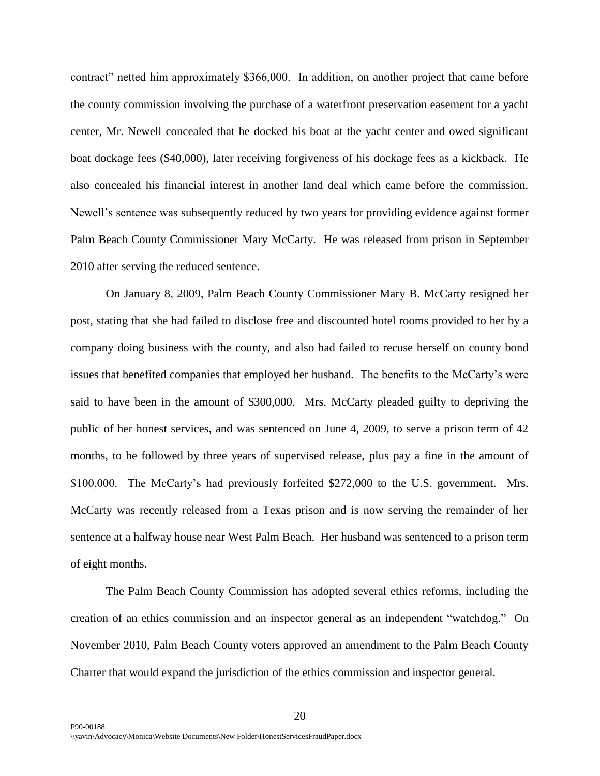contract" netted him approximately \$366,000. In addition, on another project that came before the county commission involving the purchase of a waterfront preservation easement for a yacht center, Mr. Newell concealed that he docked his boat at the yacht center and owed significant boat dockage fees (\$40,000), later receiving forgiveness of his dockage fees as a kickback. He also concealed his financial interest in another land deal which came before the commission. Newell"s sentence was subsequently reduced by two years for providing evidence against former Palm Beach County Commissioner Mary McCarty. He was released from prison in September 2010 after serving the reduced sentence.

On January 8, 2009, Palm Beach County Commissioner Mary B. McCarty resigned her post, stating that she had failed to disclose free and discounted hotel rooms provided to her by a company doing business with the county, and also had failed to recuse herself on county bond issues that benefited companies that employed her husband. The benefits to the McCarty"s were said to have been in the amount of \$300,000. Mrs. McCarty pleaded guilty to depriving the public of her honest services, and was sentenced on June 4, 2009, to serve a prison term of 42 months, to be followed by three years of supervised release, plus pay a fine in the amount of \$100,000. The McCarty's had previously forfeited \$272,000 to the U.S. government. Mrs. McCarty was recently released from a Texas prison and is now serving the remainder of her sentence at a halfway house near West Palm Beach. Her husband was sentenced to a prison term of eight months.

The Palm Beach County Commission has adopted several ethics reforms, including the creation of an ethics commission and an inspector general as an independent "watchdog." On November 2010, Palm Beach County voters approved an amendment to the Palm Beach County Charter that would expand the jurisdiction of the ethics commission and inspector general.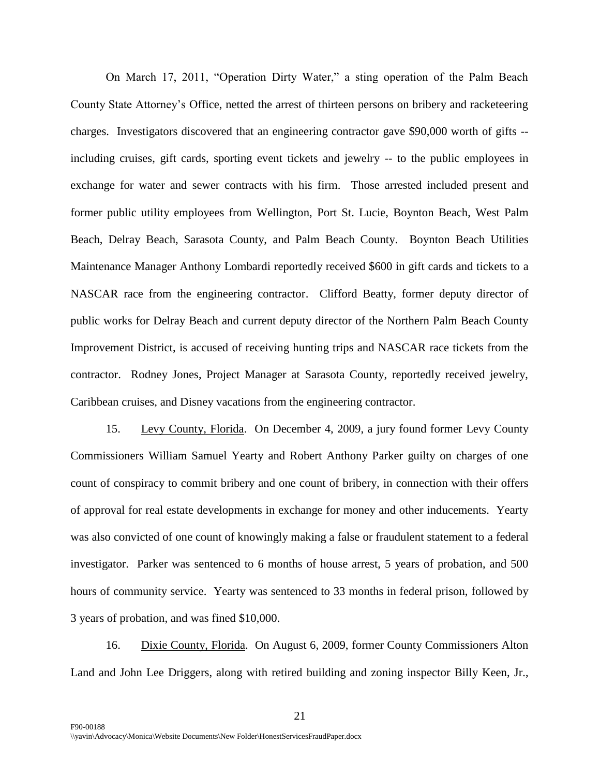On March 17, 2011, "Operation Dirty Water," a sting operation of the Palm Beach County State Attorney"s Office, netted the arrest of thirteen persons on bribery and racketeering charges. Investigators discovered that an engineering contractor gave \$90,000 worth of gifts - including cruises, gift cards, sporting event tickets and jewelry -- to the public employees in exchange for water and sewer contracts with his firm. Those arrested included present and former public utility employees from Wellington, Port St. Lucie, Boynton Beach, West Palm Beach, Delray Beach, Sarasota County, and Palm Beach County. Boynton Beach Utilities Maintenance Manager Anthony Lombardi reportedly received \$600 in gift cards and tickets to a NASCAR race from the engineering contractor. Clifford Beatty, former deputy director of public works for Delray Beach and current deputy director of the Northern Palm Beach County Improvement District, is accused of receiving hunting trips and NASCAR race tickets from the contractor. Rodney Jones, Project Manager at Sarasota County, reportedly received jewelry, Caribbean cruises, and Disney vacations from the engineering contractor.

15. Levy County, Florida. On December 4, 2009, a jury found former Levy County Commissioners William Samuel Yearty and Robert Anthony Parker guilty on charges of one count of conspiracy to commit bribery and one count of bribery, in connection with their offers of approval for real estate developments in exchange for money and other inducements. Yearty was also convicted of one count of knowingly making a false or fraudulent statement to a federal investigator. Parker was sentenced to 6 months of house arrest, 5 years of probation, and 500 hours of community service. Yearty was sentenced to 33 months in federal prison, followed by 3 years of probation, and was fined \$10,000.

16. Dixie County, Florida. On August 6, 2009, former County Commissioners Alton Land and John Lee Driggers, along with retired building and zoning inspector Billy Keen, Jr.,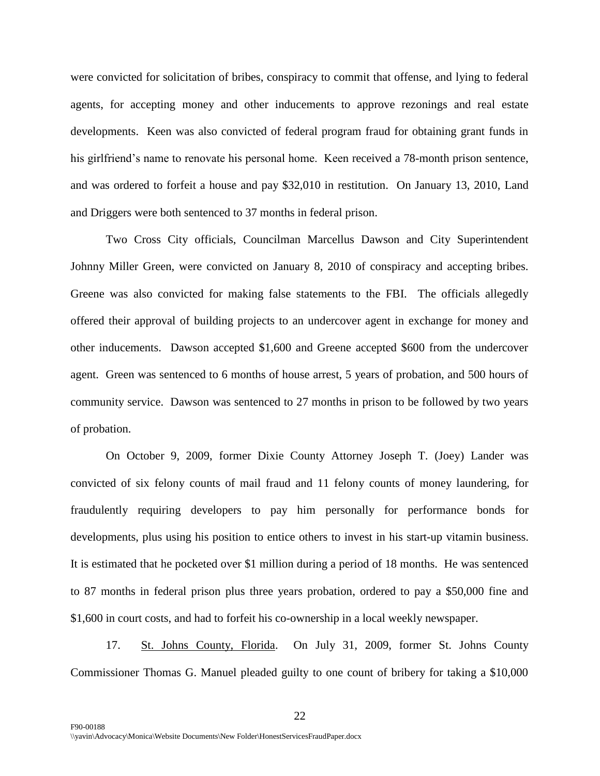were convicted for solicitation of bribes, conspiracy to commit that offense, and lying to federal agents, for accepting money and other inducements to approve rezonings and real estate developments. Keen was also convicted of federal program fraud for obtaining grant funds in his girlfriend's name to renovate his personal home. Keen received a 78-month prison sentence, and was ordered to forfeit a house and pay \$32,010 in restitution. On January 13, 2010, Land and Driggers were both sentenced to 37 months in federal prison.

Two Cross City officials, Councilman Marcellus Dawson and City Superintendent Johnny Miller Green, were convicted on January 8, 2010 of conspiracy and accepting bribes. Greene was also convicted for making false statements to the FBI. The officials allegedly offered their approval of building projects to an undercover agent in exchange for money and other inducements. Dawson accepted \$1,600 and Greene accepted \$600 from the undercover agent. Green was sentenced to 6 months of house arrest, 5 years of probation, and 500 hours of community service. Dawson was sentenced to 27 months in prison to be followed by two years of probation.

On October 9, 2009, former Dixie County Attorney Joseph T. (Joey) Lander was convicted of six felony counts of mail fraud and 11 felony counts of money laundering, for fraudulently requiring developers to pay him personally for performance bonds for developments, plus using his position to entice others to invest in his start-up vitamin business. It is estimated that he pocketed over \$1 million during a period of 18 months. He was sentenced to 87 months in federal prison plus three years probation, ordered to pay a \$50,000 fine and \$1,600 in court costs, and had to forfeit his co-ownership in a local weekly newspaper.

17. St. Johns County, Florida. On July 31, 2009, former St. Johns County Commissioner Thomas G. Manuel pleaded guilty to one count of bribery for taking a \$10,000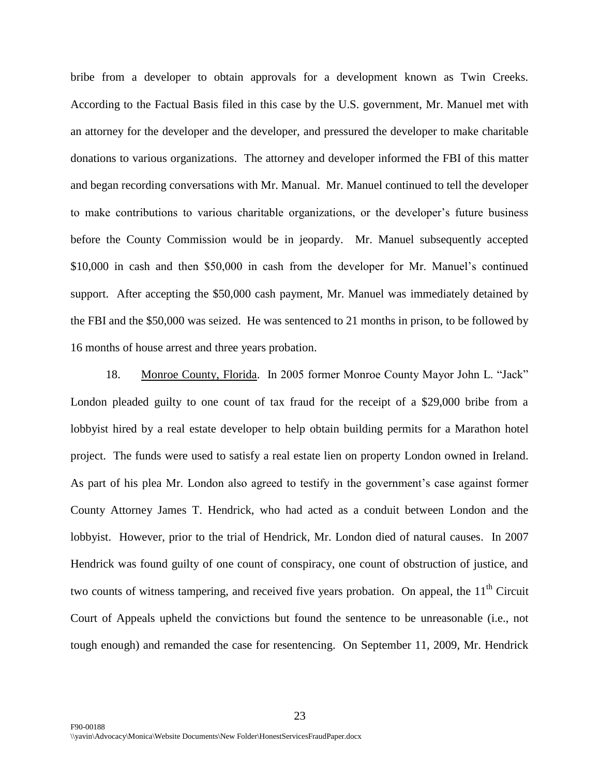bribe from a developer to obtain approvals for a development known as Twin Creeks. According to the Factual Basis filed in this case by the U.S. government, Mr. Manuel met with an attorney for the developer and the developer, and pressured the developer to make charitable donations to various organizations. The attorney and developer informed the FBI of this matter and began recording conversations with Mr. Manual. Mr. Manuel continued to tell the developer to make contributions to various charitable organizations, or the developer"s future business before the County Commission would be in jeopardy. Mr. Manuel subsequently accepted \$10,000 in cash and then \$50,000 in cash from the developer for Mr. Manuel's continued support. After accepting the \$50,000 cash payment, Mr. Manuel was immediately detained by the FBI and the \$50,000 was seized. He was sentenced to 21 months in prison, to be followed by 16 months of house arrest and three years probation.

18. Monroe County, Florida. In 2005 former Monroe County Mayor John L. "Jack" London pleaded guilty to one count of tax fraud for the receipt of a \$29,000 bribe from a lobbyist hired by a real estate developer to help obtain building permits for a Marathon hotel project. The funds were used to satisfy a real estate lien on property London owned in Ireland. As part of his plea Mr. London also agreed to testify in the government's case against former County Attorney James T. Hendrick, who had acted as a conduit between London and the lobbyist. However, prior to the trial of Hendrick, Mr. London died of natural causes. In 2007 Hendrick was found guilty of one count of conspiracy, one count of obstruction of justice, and two counts of witness tampering, and received five years probation. On appeal, the  $11<sup>th</sup>$  Circuit Court of Appeals upheld the convictions but found the sentence to be unreasonable (i.e., not tough enough) and remanded the case for resentencing. On September 11, 2009, Mr. Hendrick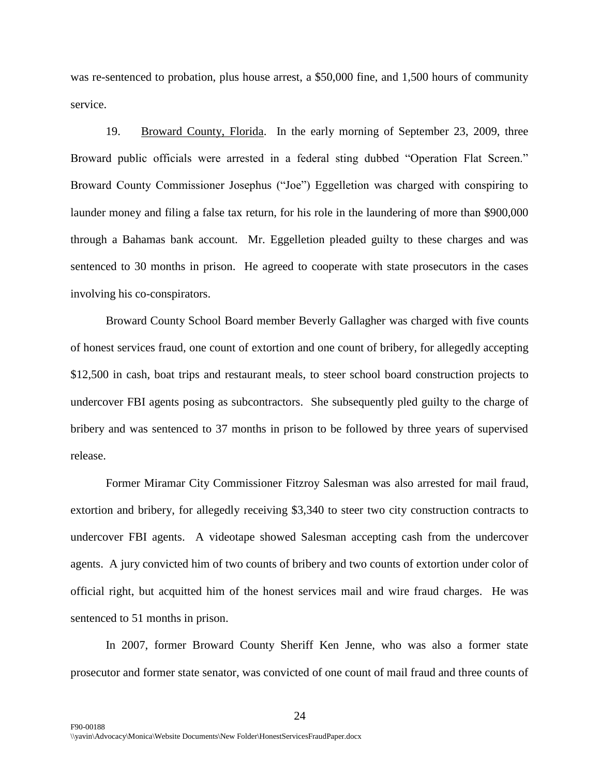was re-sentenced to probation, plus house arrest, a \$50,000 fine, and 1,500 hours of community service.

19. Broward County, Florida. In the early morning of September 23, 2009, three Broward public officials were arrested in a federal sting dubbed "Operation Flat Screen." Broward County Commissioner Josephus ("Joe") Eggelletion was charged with conspiring to launder money and filing a false tax return, for his role in the laundering of more than \$900,000 through a Bahamas bank account. Mr. Eggelletion pleaded guilty to these charges and was sentenced to 30 months in prison. He agreed to cooperate with state prosecutors in the cases involving his co-conspirators.

Broward County School Board member Beverly Gallagher was charged with five counts of honest services fraud, one count of extortion and one count of bribery, for allegedly accepting \$12,500 in cash, boat trips and restaurant meals, to steer school board construction projects to undercover FBI agents posing as subcontractors. She subsequently pled guilty to the charge of bribery and was sentenced to 37 months in prison to be followed by three years of supervised release.

Former Miramar City Commissioner Fitzroy Salesman was also arrested for mail fraud, extortion and bribery, for allegedly receiving \$3,340 to steer two city construction contracts to undercover FBI agents. A videotape showed Salesman accepting cash from the undercover agents. A jury convicted him of two counts of bribery and two counts of extortion under color of official right, but acquitted him of the honest services mail and wire fraud charges. He was sentenced to 51 months in prison.

In 2007, former Broward County Sheriff Ken Jenne, who was also a former state prosecutor and former state senator, was convicted of one count of mail fraud and three counts of

24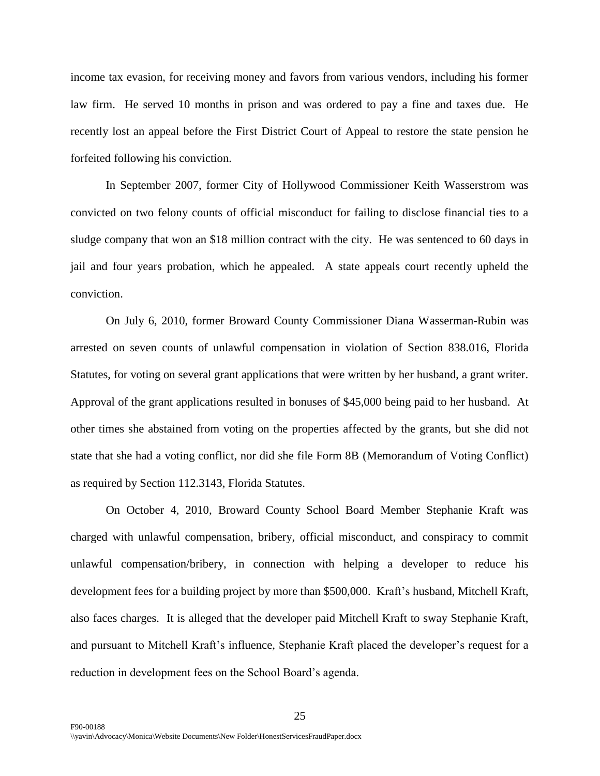income tax evasion, for receiving money and favors from various vendors, including his former law firm. He served 10 months in prison and was ordered to pay a fine and taxes due. He recently lost an appeal before the First District Court of Appeal to restore the state pension he forfeited following his conviction.

In September 2007, former City of Hollywood Commissioner Keith Wasserstrom was convicted on two felony counts of official misconduct for failing to disclose financial ties to a sludge company that won an \$18 million contract with the city. He was sentenced to 60 days in jail and four years probation, which he appealed. A state appeals court recently upheld the conviction.

On July 6, 2010, former Broward County Commissioner Diana Wasserman-Rubin was arrested on seven counts of unlawful compensation in violation of Section 838.016, Florida Statutes, for voting on several grant applications that were written by her husband, a grant writer. Approval of the grant applications resulted in bonuses of \$45,000 being paid to her husband. At other times she abstained from voting on the properties affected by the grants, but she did not state that she had a voting conflict, nor did she file Form 8B (Memorandum of Voting Conflict) as required by Section 112.3143, Florida Statutes.

On October 4, 2010, Broward County School Board Member Stephanie Kraft was charged with unlawful compensation, bribery, official misconduct, and conspiracy to commit unlawful compensation/bribery, in connection with helping a developer to reduce his development fees for a building project by more than \$500,000. Kraft's husband, Mitchell Kraft, also faces charges. It is alleged that the developer paid Mitchell Kraft to sway Stephanie Kraft, and pursuant to Mitchell Kraft's influence, Stephanie Kraft placed the developer's request for a reduction in development fees on the School Board"s agenda.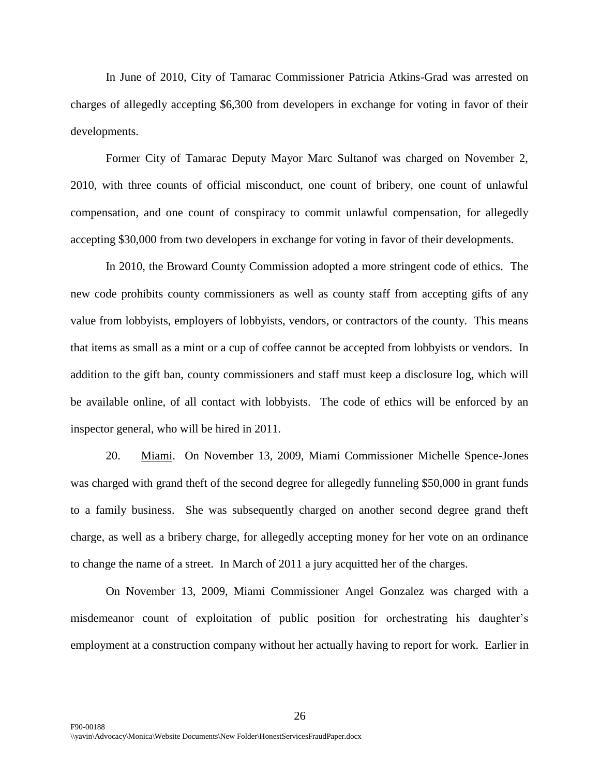In June of 2010, City of Tamarac Commissioner Patricia Atkins-Grad was arrested on charges of allegedly accepting \$6,300 from developers in exchange for voting in favor of their developments.

Former City of Tamarac Deputy Mayor Marc Sultanof was charged on November 2, 2010, with three counts of official misconduct, one count of bribery, one count of unlawful compensation, and one count of conspiracy to commit unlawful compensation, for allegedly accepting \$30,000 from two developers in exchange for voting in favor of their developments.

In 2010, the Broward County Commission adopted a more stringent code of ethics. The new code prohibits county commissioners as well as county staff from accepting gifts of any value from lobbyists, employers of lobbyists, vendors, or contractors of the county. This means that items as small as a mint or a cup of coffee cannot be accepted from lobbyists or vendors. In addition to the gift ban, county commissioners and staff must keep a disclosure log, which will be available online, of all contact with lobbyists. The code of ethics will be enforced by an inspector general, who will be hired in 2011.

20. Miami. On November 13, 2009, Miami Commissioner Michelle Spence-Jones was charged with grand theft of the second degree for allegedly funneling \$50,000 in grant funds to a family business. She was subsequently charged on another second degree grand theft charge, as well as a bribery charge, for allegedly accepting money for her vote on an ordinance to change the name of a street. In March of 2011 a jury acquitted her of the charges.

On November 13, 2009, Miami Commissioner Angel Gonzalez was charged with a misdemeanor count of exploitation of public position for orchestrating his daughter"s employment at a construction company without her actually having to report for work. Earlier in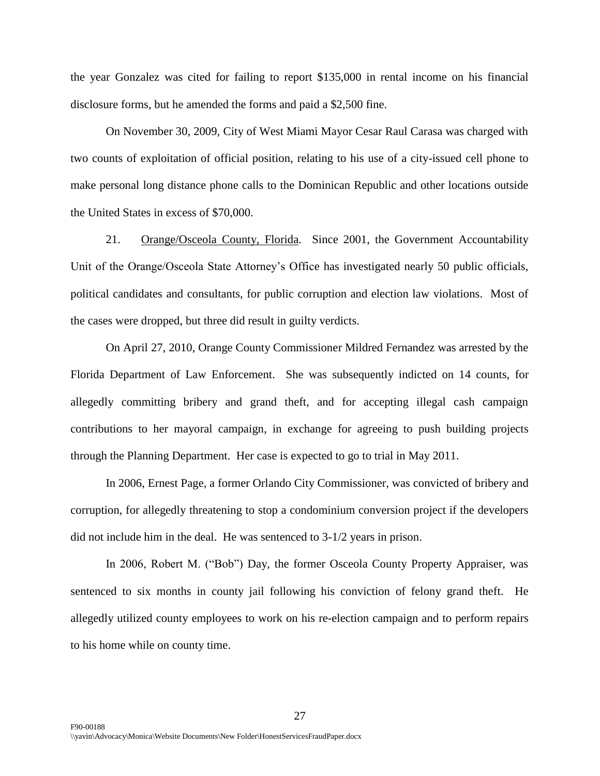the year Gonzalez was cited for failing to report \$135,000 in rental income on his financial disclosure forms, but he amended the forms and paid a \$2,500 fine.

On November 30, 2009, City of West Miami Mayor Cesar Raul Carasa was charged with two counts of exploitation of official position, relating to his use of a city-issued cell phone to make personal long distance phone calls to the Dominican Republic and other locations outside the United States in excess of \$70,000.

21. Orange/Osceola County, Florida. Since 2001, the Government Accountability Unit of the Orange/Osceola State Attorney's Office has investigated nearly 50 public officials, political candidates and consultants, for public corruption and election law violations. Most of the cases were dropped, but three did result in guilty verdicts.

On April 27, 2010, Orange County Commissioner Mildred Fernandez was arrested by the Florida Department of Law Enforcement. She was subsequently indicted on 14 counts, for allegedly committing bribery and grand theft, and for accepting illegal cash campaign contributions to her mayoral campaign, in exchange for agreeing to push building projects through the Planning Department. Her case is expected to go to trial in May 2011.

In 2006, Ernest Page, a former Orlando City Commissioner, was convicted of bribery and corruption, for allegedly threatening to stop a condominium conversion project if the developers did not include him in the deal. He was sentenced to 3-1/2 years in prison.

In 2006, Robert M. ("Bob") Day, the former Osceola County Property Appraiser, was sentenced to six months in county jail following his conviction of felony grand theft. He allegedly utilized county employees to work on his re-election campaign and to perform repairs to his home while on county time.